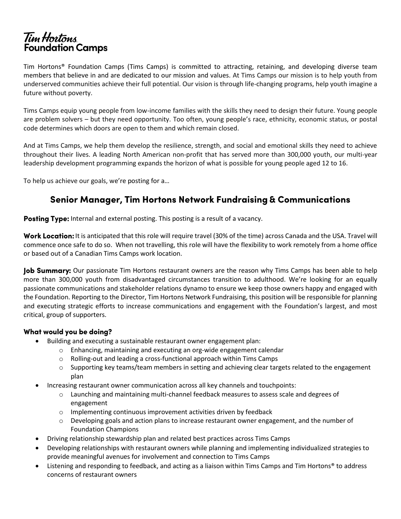# Tim Hortons Foundation Camps

Tim Hortons® Foundation Camps (Tims Camps) is committed to attracting, retaining, and developing diverse team members that believe in and are dedicated to our mission and values. At Tims Camps our mission is to help youth from underserved communities achieve their full potential. Our vision is through life-changing programs, help youth imagine a future without poverty.

Tims Camps equip young people from low-income families with the skills they need to design their future. Young people are problem solvers – but they need opportunity. Too often, young people's race, ethnicity, economic status, or postal code determines which doors are open to them and which remain closed.

And at Tims Camps, we help them develop the resilience, strength, and social and emotional skills they need to achieve throughout their lives. A leading North American non-profit that has served more than 300,000 youth, our multi-year leadership development programming expands the horizon of what is possible for young people aged 12 to 16.

To help us achieve our goals, we're posting for a…

# **Senior Manager, Tim Hortons Network Fundraising & Communications**

Posting Type: Internal and external posting. This posting is a result of a vacancy.

**Work Location:** It is anticipated that this role will require travel (30% of the time) across Canada and the USA. Travel will commence once safe to do so. When not travelling, this role will have the flexibility to work remotely from a home office or based out of a Canadian Tims Camps work location.

Job Summary: Our passionate Tim Hortons restaurant owners are the reason why Tims Camps has been able to help more than 300,000 youth from disadvantaged circumstances transition to adulthood. We're looking for an equally passionate communications and stakeholder relations dynamo to ensure we keep those owners happy and engaged with the Foundation. Reporting to the Director, Tim Hortons Network Fundraising, this position will be responsible for planning and executing strategic efforts to increase communications and engagement with the Foundation's largest, and most critical, group of supporters.

# What would you be doing?

- Building and executing a sustainable restaurant owner engagement plan:
	- o Enhancing, maintaining and executing an org-wide engagement calendar
	- o Rolling-out and leading a cross-functional approach within Tims Camps
	- $\circ$  Supporting key teams/team members in setting and achieving clear targets related to the engagement plan
- Increasing restaurant owner communication across all key channels and touchpoints:
	- $\circ$  Launching and maintaining multi-channel feedback measures to assess scale and degrees of engagement
	- $\circ$  Implementing continuous improvement activities driven by feedback
	- $\circ$  Developing goals and action plans to increase restaurant owner engagement, and the number of Foundation Champions
- Driving relationship stewardship plan and related best practices across Tims Camps
- Developing relationships with restaurant owners while planning and implementing individualized strategies to provide meaningful avenues for involvement and connection to Tims Camps
- Listening and responding to feedback, and acting as a liaison within Tims Camps and Tim Hortons® to address concerns of restaurant owners